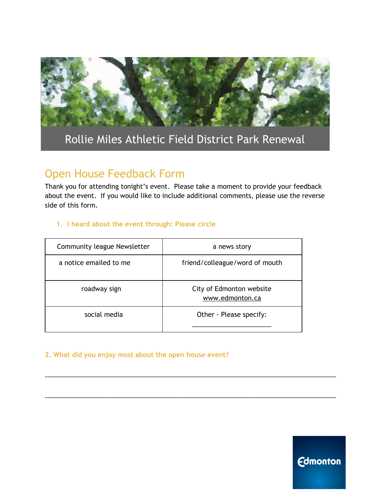

# Rollie Miles Athletic Field District Park Renewal

# Open House Feedback Form

Thank you for attending tonight's event. Please take a moment to provide your feedback about the event. If you would like to include additional comments, please use the reverse side of this form.

#### **1. I heard about the event through: Please circle**

| Community league Newsletter | a news story                                |  |  |  |
|-----------------------------|---------------------------------------------|--|--|--|
| a notice emailed to me      | friend/colleague/word of mouth              |  |  |  |
| roadway sign                | City of Edmonton website<br>www.edmonton.ca |  |  |  |
| social media                | Other - Please specify:                     |  |  |  |

\_\_\_\_\_\_\_\_\_\_\_\_\_\_\_\_\_\_\_\_\_\_\_\_\_\_\_\_\_\_\_\_\_\_\_\_\_\_\_\_\_\_\_\_\_\_\_\_\_\_\_\_\_\_\_\_\_\_\_\_\_\_\_\_\_\_\_\_\_\_\_\_\_\_\_\_\_\_\_\_\_\_\_\_\_\_\_\_\_\_\_\_\_\_\_\_\_\_\_\_\_\_\_\_\_

\_\_\_\_\_\_\_\_\_\_\_\_\_\_\_\_\_\_\_\_\_\_\_\_\_\_\_\_\_\_\_\_\_\_\_\_\_\_\_\_\_\_\_\_\_\_\_\_\_\_\_\_\_\_\_\_\_\_\_\_\_\_\_\_\_\_\_\_\_\_\_\_\_\_\_\_\_\_\_\_\_\_\_\_\_\_\_\_\_\_\_\_\_\_\_\_\_\_\_\_\_\_\_\_\_

#### **2. What did you enjoy most about the open house event?**